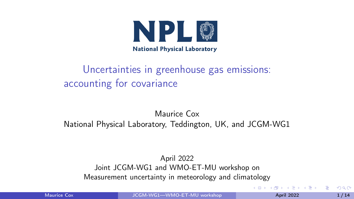

# <span id="page-0-0"></span>Uncertainties in greenhouse gas emissions: accounting for covariance

#### Maurice Cox National Physical Laboratory, Teddington, UK, and JCGM-WG1

#### April 2022 Joint JCGM-WG1 and WMO-ET-MU workshop on Measurement uncertainty in meteorology and climatology

Maurice Cox **Maurice Cox** [JCGM-WG1—WMO-ET-MU workshop](#page-13-0) **April 2022** April 2022 1/14

 $\Omega$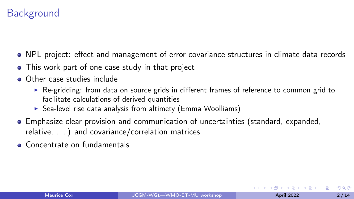# **Background**

- NPL project: effect and management of error covariance structures in climate data records
- This work part of one case study in that project
- Other case studies include
	- ▶ Re-gridding: from data on source grids in different frames of reference to common grid to facilitate calculations of derived quantities
	- $\triangleright$  Sea-level rise data analysis from altimety (Emma Woolliams)
- Emphasize clear provision and communication of uncertainties (standard, expanded, relative, . . . ) and covariance/correlation matrices
- Concentrate on fundamentals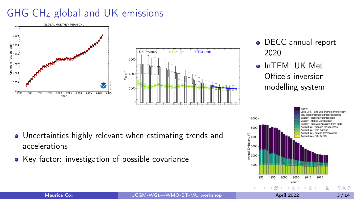# GHG CH<sup>4</sup> global and UK emissions





- DECC annual report 2020
- o InTFM: UK Met Office's inversion modelling system



- Uncertainties highly relevant when estimating trends and accelerations
- Key factor: investigation of possible covariance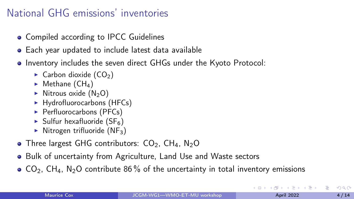## National GHG emissions' inventories

- Compiled according to IPCC Guidelines
- Each year updated to include latest data available
- Inventory includes the seven direct GHGs under the Kyoto Protocol:
	- $\triangleright$  Carbon dioxide (CO<sub>2</sub>)
	- $\blacktriangleright$  Methane (CH<sub>4</sub>)
	- $\triangleright$  Nitrous oxide (N<sub>2</sub>O)
	- ▶ Hydrofluorocarbons (HFCs)
	- ▶ Perfluorocarbons (PFCs)
	- $\triangleright$  Sulfur hexafluoride (SF<sub>6</sub>)
	- $\triangleright$  Nitrogen trifluoride (NF<sub>3</sub>)
- Three largest GHG contributors:  $CO<sub>2</sub>$ , CH<sub>4</sub>, N<sub>2</sub>O
- Bulk of uncertainty from Agriculture, Land Use and Waste sectors
- $\bullet$  CO<sub>2</sub>, CH<sub>4</sub>, N<sub>2</sub>O contribute 86 % of the uncertainty in total inventory emissions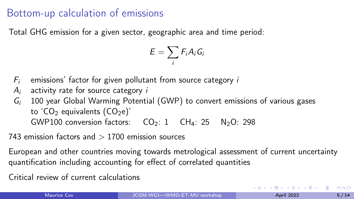#### Bottom-up calculation of emissions

Total GHG emission for a given sector, geographic area and time period:

$$
E=\sum_i F_iA_iG_i
$$

- $F_i$  emissions' factor for given pollutant from source category  $i$
- $A_i$  activity rate for source category  $i$
- $G_i$  100 year Global Warming Potential (GWP) to convert emissions of various gases to 'CO<sub>2</sub> equivalents  $(CO<sub>2</sub>e)$ ' GWP100 conversion factors:  $CO<sub>2</sub>: 1$  CH<sub>4</sub>: 25 N<sub>2</sub>O: 298
- 743 emission factors and  $> 1700$  emission sources

European and other countries moving towards metrological assessment of current uncertainty quantification including accounting for effect of correlated quantities

Critical review of current calculations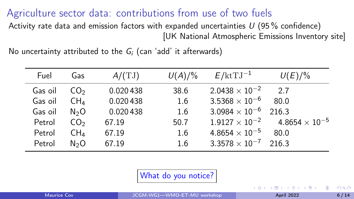<span id="page-5-0"></span>Agriculture sector data: contributions from use of two fuels Activity rate data and emission factors with expanded uncertainties  $U$  (95% confidence)

[UK National Atmospheric Emissions Inventory site]

No uncertainty attributed to the  $G_i$  (can 'add' it afterwards)

| Fuel    | Gas              | $A/(\text{TJ})$ | $U(A)/\%$ | $E/\text{ktTJ}^{-1}$    | $U(E)/\%$                                       |
|---------|------------------|-----------------|-----------|-------------------------|-------------------------------------------------|
| Gas oil | CO <sub>2</sub>  | 0.020438        | 38.6      | $2.0438 \times 10^{-2}$ | 27                                              |
| Gas oil | CH <sub>4</sub>  | 0.020438        | 1.6       | $3.5368 \times 10^{-6}$ | 80.0                                            |
| Gas oil | N <sub>2</sub> O | 0.020438        | 1.6       | $3.0984\times10^{-6}$   | 216.3                                           |
| Petrol  | CO <sub>2</sub>  | 67.19           | 50.7      |                         | $1.9127 \times 10^{-2}$ 4.8654 $\times 10^{-5}$ |
| Petrol  | CH <sub>4</sub>  | 67.19           | 1.6       | $4.8654 \times 10^{-5}$ | 80.0                                            |
| Petrol  | N <sub>2</sub> O | 67.19           | 1.6       | $3.3578 \times 10^{-7}$ | 216.3                                           |

What do you notice?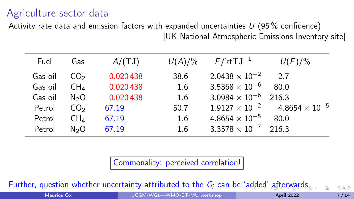## <span id="page-6-0"></span>Agriculture sector data

Activity rate data and emission factors with expanded uncertainties  $U$  (95% confidence) [UK National Atmospheric Emissions Inventory site]

| Fuel    | Gas              | $A/(\mathrm{TJ})$ | $U(A)/\%$ | $F/\text{ktTJ}^{-1}$          | $U(F)/\%$                                       |
|---------|------------------|-------------------|-----------|-------------------------------|-------------------------------------------------|
| Gas oil | CO <sub>2</sub>  | 0.020438          | 38.6      | $2.0438 \times 10^{-2}$       | 27                                              |
| Gas oil | CH <sub>4</sub>  | 0.020438          | 1.6       | $3.5368 \times 10^{-6}$       | 80.0                                            |
| Gas oil | N <sub>2</sub> O | 0.020438          | 1.6       | $3.0984 \times 10^{-6}$ 216.3 |                                                 |
| Petrol  | CO <sub>2</sub>  | 67.19             | 50.7      |                               | $1.9127 \times 10^{-2}$ 4.8654 $\times 10^{-5}$ |
| Petrol  | $CH_4$           | 67.19             | 1.6       | $4.8654 \times 10^{-5}$       | 80.0                                            |
| Petrol  | N <sub>2</sub> O | 67.19             | 1.6       | $3.3578 \times 10^{-7}$       | 216.3                                           |

Commonality: perceived correlation!

Further,qu[e](#page-7-0)stion whether uncertainty attributed to the  $G_i$  can be 'a[dd](#page-5-0)[ed'](#page-7-0) [aft](#page-6-0)e[rw](#page-0-0)[ar](#page-13-0)[ds](#page-0-0)

Maurice Cox **Maurice Cox** [JCGM-WG1—WMO-ET-MU workshop](#page-0-0) **April 2022** April 2022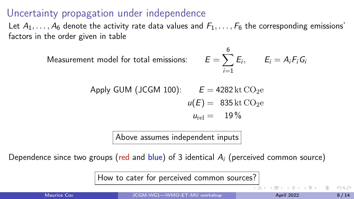#### <span id="page-7-0"></span>Uncertainty propagation under independence

Let  $A_1, \ldots, A_6$  denote the activity rate data values and  $F_1, \ldots, F_6$  the corresponding emissions' factors in the order given in table

Measurement model for total emissions:

$$
E=\sum_{i=1}^6 E_i, \qquad E_i=A_iF_iG_i
$$

Apply GUM (JCGM 100): 
$$
E = 4282 \text{ kt } CO_2e
$$
  
 $u(E) = 835 \text{ kt } CO_2e$   
 $u_{rel} = 19\%$ 

Above assumes independent inputs

Dependence since two groups (red and  $blue$ ) of 3 identical  $A_i$  (perceived common source)

How to cater for perceived common sources?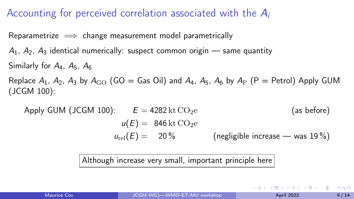#### Accounting for perceived correlation associated with the  $A_i$

Reparametrize  $\implies$  change measurement model parametrically

 $A_1$ ,  $A_2$ ,  $A_3$  identical numerically: suspect common origin — same quantity Similarly for  $A_4$ ,  $A_5$ ,  $A_6$ 

Replace  $A_1$ ,  $A_2$ ,  $A_3$  by  $A_{\rm GO}$  (GO = Gas Oil) and  $A_4$ ,  $A_5$ ,  $A_6$  by  $A_{\rm P}$  (P = Petrol) Apply GUM (JCGM 100):

Apply GUM (JCGM 100): 
$$
E = 4282 \text{ kt CO}_2e
$$
 (as before)  
\n $u(E) = 846 \text{ kt CO}_2e$  (negligible increase — was 19%)  
\n $u_{rel}(E) = 20\%$  (negligible increase — was 19%)

Although increase very small, important principle here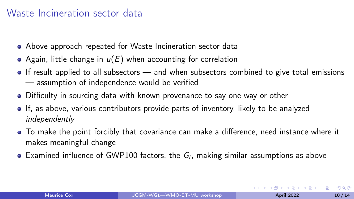#### Waste Incineration sector data

- Above approach repeated for Waste Incineration sector data
- Again, little change in  $u(E)$  when accounting for correlation
- If result applied to all subsectors and when subsectors combined to give total emissions — assumption of independence would be verified
- Difficulty in sourcing data with known provenance to say one way or other
- If, as above, various contributors provide parts of inventory, likely to be analyzed independently
- To make the point forcibly that covariance can make a difference, need instance where it makes meaningful change
- Examined influence of GWP100 factors, the  $G_i$ , making similar assumptions as above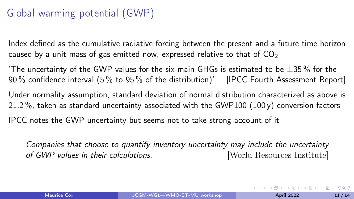# Global warming potential (GWP)

Index defined as the cumulative radiative forcing between the present and a future time horizon caused by a unit mass of gas emitted now, expressed relative to that of  $CO<sub>2</sub>$ 

'The uncertainty of the GWP values for the six main GHGs is estimated to be  $\pm 35\%$  for the 90 % confidence interval (5 % to 95 % of the distribution)' [IPCC Fourth Assessment Report]

Under normality assumption, standard deviation of normal distribution characterized as above is 21.2%, taken as standard uncertainty associated with the GWP100 (100 y) conversion factors

IPCC notes the GWP uncertainty but seems not to take strong account of it

Companies that choose to quantify inventory uncertainty may include the uncertainty of GWP values in their calculations. [World Resources Institute]

 $A \equiv \mathbf{1} \times A \equiv \mathbf{1}$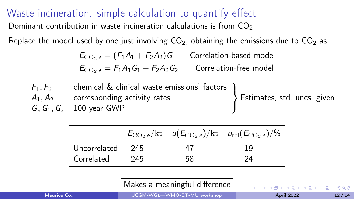Waste incineration: simple calculation to quantify effect Dominant contribution in waste incineration calculations is from  $CO<sub>2</sub>$ 

Replace the model used by one just involving  $CO<sub>2</sub>$ , obtaining the emissions due to  $CO<sub>2</sub>$  as

 $E_{\text{CO}_2 e} = (F_1 A_1 + F_2 A_2)G$  Correlation-based model  $E_{\text{CO}_2 e} = F_1 A_1 G_1 + F_2 A_2 G_2$  Correlation-free model

| $F_1, F_2$ | chemical & clinical waste emissions' factors |                               |
|------------|----------------------------------------------|-------------------------------|
|            | $A_1, A_2$ corresponding activity rates      | > Estimates, std. uncs. given |
|            | $G, G_1, G_2$ 100 year GWP                   |                               |

|              |       |     | $E_{\rm CO_2 e}/\text{kt}$ $u(E_{\rm CO_2 e})/\text{kt}$ $u_{\rm rel}(E_{\rm CO_2 e})/$ % |
|--------------|-------|-----|-------------------------------------------------------------------------------------------|
| Uncorrelated | - 245 | 47  | 19                                                                                        |
| Correlated   | -245  | .58 | 24                                                                                        |

Makes a meaningful difference

 $QQQ$ 

Maurice Cox **Maurice Cox** J2 / 14 [JCGM-WG1—WMO-ET-MU workshop](#page-0-0) **April 2022** April 2022 12 / 14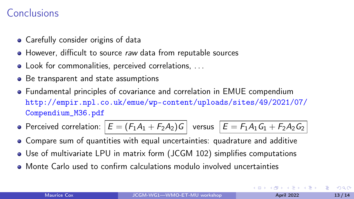#### Conclusions

- Carefully consider origins of data
- However, difficult to source raw data from reputable sources
- Look for commonalities, perceived correlations, . . .
- Be transparent and state assumptions
- Fundamental principles of covariance and correlation in EMUE compendium [http://empir.npl.co.uk/emue/wp-content/uploads/sites/49/2021/07/](http://empir.npl.co.uk/emue/wp-content/uploads/sites/49/2021/07/Compendium_M36.pdf) [Compendium\\_M36.pdf](http://empir.npl.co.uk/emue/wp-content/uploads/sites/49/2021/07/Compendium_M36.pdf)
- Perceived correlation:  $E = (F_1A_1 + F_2A_2)G$  versus  $E = F_1A_1G_1 + F_2A_2G_2$
- Compare sum of quantities with equal uncertainties: quadrature and additive
- Use of multivariate LPU in matrix form (JCGM 102) simplifies computations
- Monte Carlo used to confirm calculations modulo involved uncertainties